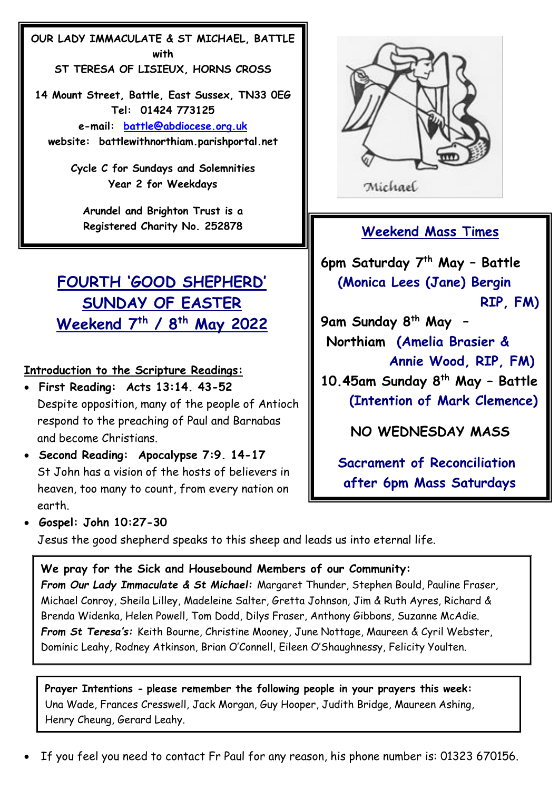**OUR LADY IMMACULATE & ST MICHAEL, BATTLE with ST TERESA OF LISIEUX, HORNS CROSS**

**14 Mount Street, Battle, East Sussex, TN33 0EG Tel: 01424 773125 e-mail: [battle@abdiocese.org.uk](about:blank) website: battlewithnorthiam.parishportal.net**

> **Cycle C for Sundays and Solemnities Year 2 for Weekdays**

**Arundel and Brighton Trust is a Registered Charity No. 252878**

# **FOURTH 'GOOD SHEPHERD' SUNDAY OF EASTER Weekend 7 th / 8 th May 2022**

## **Introduction to the Scripture Readings:**

- • **First Reading: Acts 13:14. 43-52** Despite opposition, many of the people of Antioch respond to the preaching of Paul and Barnabas and become Christians.
- • **Second Reading: Apocalypse 7:9. 14-17** St John has a vision of the hosts of believers in heaven, too many to count, from every nation on earth.



Michael

## **Weekend Mass Times**

**6pm Saturday 7 th May – Battle (Monica Lees (Jane) Bergin RIP, FM)**

**9am Sunday 8 th May – Northiam (Amelia Brasier & Annie Wood, RIP, FM)** 

**10.45am Sunday 8 th May – Battle (Intention of Mark Clemence)**

**NO WEDNESDAY MASS**

 **Sacrament of Reconciliation after 6pm Mass Saturdays**

• **Gospel: John 10:27-30**

Jesus the good shepherd speaks to this sheep and leads us into eternal life.

## **We pray for the Sick and Housebound Members of our Community:**

*From Our Lady Immaculate & St Michael:* Margaret Thunder, Stephen Bould, Pauline Fraser, Michael Conroy, Sheila Lilley, Madeleine Salter, Gretta Johnson, Jim & Ruth Ayres, Richard & Brenda Widenka, Helen Powell, Tom Dodd, Dilys Fraser, Anthony Gibbons, Suzanne McAdie. *From St Teresa's:* Keith Bourne, Christine Mooney, June Nottage, Maureen & Cyril Webster, Dominic Leahy, Rodney Atkinson, Brian O'Connell, Eileen O'Shaughnessy, Felicity Youlten.

**Prayer Intentions - please remember the following people in your prayers this week:** Una Wade, Frances Cresswell, Jack Morgan, Guy Hooper, Judith Bridge, Maureen Ashing, Henry Cheung, Gerard Leahy.

If you feel you need to contact Fr Paul for any reason, his phone number is: 01323 670156.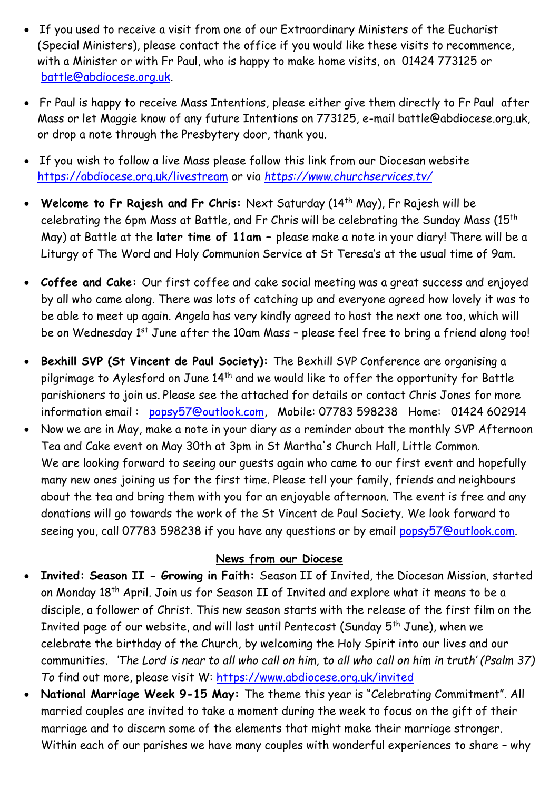- If you used to receive a visit from one of our Extraordinary Ministers of the Eucharist (Special Ministers), please contact the office if you would like these visits to recommence, with a Minister or with Fr Paul, who is happy to make home visits, on 01424 773125 or [battle@abdiocese.org.uk.](mailto:battle@abdiocese.org.uk)
- Fr Paul is happy to receive Mass Intentions, please either give them directly to Fr Paul after Mass or let Maggie know of any future Intentions on 773125, e-mail battle@abdiocese.org.uk, or drop a note through the Presbytery door, thank you.
- If you wish to follow a live Mass please follow this link from our Diocesan website <https://abdiocese.org.uk/livestream> or via *<https://www.churchservices.tv/>*
- **Welcome to Fr Rajesh and Fr Chris:** Next Saturday (14th May), Fr Rajesh will be celebrating the 6pm Mass at Battle, and Fr Chris will be celebrating the Sunday Mass (15th May) at Battle at the **later time of 11am –** please make a note in your diary! There will be a Liturgy of The Word and Holy Communion Service at St Teresa's at the usual time of 9am.
- **Coffee and Cake:** Our first coffee and cake social meeting was a great success and enjoyed by all who came along. There was lots of catching up and everyone agreed how lovely it was to be able to meet up again. Angela has very kindly agreed to host the next one too, which will be on Wednesday 1<sup>st</sup> June after the 10am Mass - please feel free to bring a friend along too!
- **Bexhill SVP (St Vincent de Paul Society):** The Bexhill SVP Conference are organising a pilgrimage to Aylesford on June 14<sup>th</sup> and we would like to offer the opportunity for Battle parishioners to join us. Please see the attached for details or contact Chris Jones for more information email : [popsy57@outlook.com,](mailto:popsy57@outlook.com) Mobile: 07783 598238 Home: 01424 602914
- Now we are in May, make a note in your diary as a reminder about the monthly SVP Afternoon Tea and Cake event on May 30th at 3pm in St Martha's Church Hall, Little Common. We are looking forward to seeing our guests again who came to our first event and hopefully many new ones joining us for the first time. Please tell your family, friends and neighbours about the tea and bring them with you for an enjoyable afternoon. The event is free and any donations will go towards the work of the St Vincent de Paul Society. We look forward to seeing you, call 07783 598238 if you have any questions or by email [popsy57@outlook.com.](mailto:popsy57@outlook.com)

#### **News from our Diocese**

- **Invited: Season II - Growing in Faith:** Season II of Invited, the Diocesan Mission, started on Monday 18th April. Join us for Season II of Invited and explore what it means to be a disciple, a follower of Christ. This new season starts with the release of the first film on the Invited page of our website, and will last until Pentecost (Sunday  $5^{th}$  June), when we celebrate the birthday of the Church, by welcoming the Holy Spirit into our lives and our communities. *'The Lord is near to all who call on him, to all who call on him in truth' (Psalm 37) To* find out more, please visit W: <https://www.abdiocese.org.uk/invited>
- **National Marriage Week 9-15 May:** The theme this year is "Celebrating Commitment". All married couples are invited to take a moment during the week to focus on the gift of their marriage and to discern some of the elements that might make their marriage stronger. Within each of our parishes we have many couples with wonderful experiences to share – why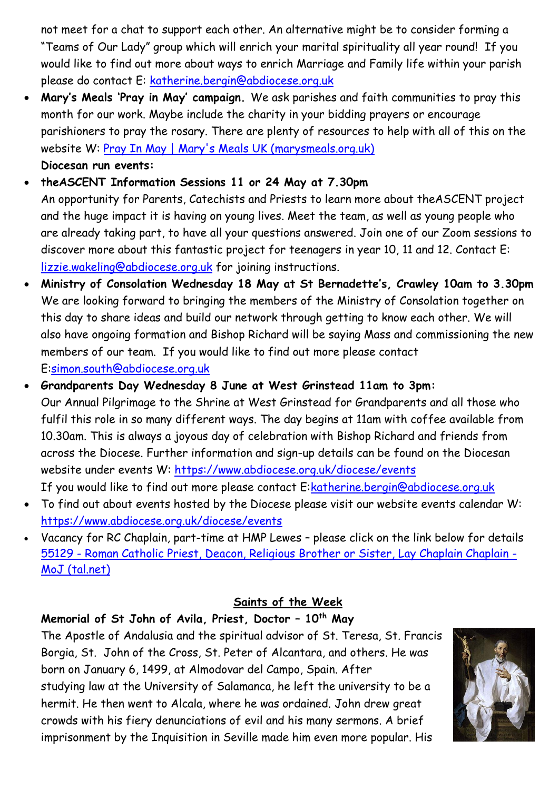not meet for a chat to support each other. An alternative might be to consider forming a "Teams of Our Lady" group which will enrich your marital spirituality all year round! If you would like to find out more about ways to enrich Marriage and Family life within your parish please do contact E: [katherine.bergin@abdiocese.org.uk](mailto:katherine.bergin@abdiocese.org.uk)

- **Mary's Meals 'Pray in May' campaign.** We ask parishes and faith communities to pray this month for our work. Maybe include the charity in your bidding prayers or encourage parishioners to pray the rosary. There are plenty of resources to help with all of this on the website W: [Pray In May | Mary's Meals UK \(marysmeals.org.uk\)](https://www.marysmeals.org.uk/get-involved/churches-and-prayers/pray-in-may) **Diocesan run events:**
- **theASCENT Information Sessions 11 or 24 May at 7.30pm** An opportunity for Parents, Catechists and Priests to learn more about theASCENT project and the huge impact it is having on young lives. Meet the team, as well as young people who are already taking part, to have all your questions answered. Join one of our Zoom sessions to discover more about this fantastic project for teenagers in year 10, 11 and 12. Contact E: [lizzie.wakeling@abdiocese.org.uk](mailto:lizzie.wakeling@abdiocese.org.uk) for joining instructions.
- **Ministry of Consolation Wednesday 18 May at St Bernadette's, Crawley 10am to 3.30pm** We are looking forward to bringing the members of the Ministry of Consolation together on this day to share ideas and build our network through getting to know each other. We will also have ongoing formation and Bishop Richard will be saying Mass and commissioning the new members of our team. If you would like to find out more please contact E[:simon.south@abdiocese.org.uk](mailto:simon.south@abdiocese.org.uk)
- **Grandparents Day Wednesday 8 June at West Grinstead 11am to 3pm:** Our Annual Pilgrimage to the Shrine at West Grinstead for Grandparents and all those who fulfil this role in so many different ways. The day begins at 11am with coffee available from 10.30am. This is always a joyous day of celebration with Bishop Richard and friends from across the Diocese. Further information and sign-up details can be found on the Diocesan website under events W:<https://www.abdiocese.org.uk/diocese/events> If you would like to find out more please contact E[:katherine.bergin@abdiocese.org.uk](mailto:katherine.bergin@abdiocese.org.uk)
- To find out about events hosted by the Diocese please visit our website events calendar W: <https://www.abdiocese.org.uk/diocese/events>
- Vacancy for RC Chaplain, part-time at HMP Lewes please click on the link below for details 55129 - [Roman Catholic Priest, Deacon, Religious Brother or Sister, Lay Chaplain Chaplain -](https://eur02.safelinks.protection.outlook.com/?url=https%3A%2F%2Fjusticejobs.tal.net%2Fvx%2Fmobile-0%2Fappcentre-1%2Fbrand-13%2Fcandidate%2Fso%2Fpm%2F1%2Fpl%2F3%2Fopp%2F55129-55129-Roman-Catholic-Priest-Deacon-Religious-Brother-or-Sister-Lay-Chaplain-Chaplain%2Fen-GB&data=05%7C01%7Cbishop.richard%40abdiocese.org.uk%7Cc13b014743344e041c0408da291a0985%7C2bf5dbc217ef4efca1c9ab2dc4edefd0%7C0%7C0%7C637867489054991804%7CUnknown%7CTWFpbGZsb3d8eyJWIjoiMC4wLjAwMDAiLCJQIjoiV2luMzIiLCJBTiI6Ik1haWwiLCJXVCI6Mn0%3D%7C3000%7C%7C%7C&sdata=QHu4xkpao18GFqKbRj2QT14Zdy4phDP3VKvUGh2ODZ0%3D&reserved=0) [MoJ \(tal.net\)](https://eur02.safelinks.protection.outlook.com/?url=https%3A%2F%2Fjusticejobs.tal.net%2Fvx%2Fmobile-0%2Fappcentre-1%2Fbrand-13%2Fcandidate%2Fso%2Fpm%2F1%2Fpl%2F3%2Fopp%2F55129-55129-Roman-Catholic-Priest-Deacon-Religious-Brother-or-Sister-Lay-Chaplain-Chaplain%2Fen-GB&data=05%7C01%7Cbishop.richard%40abdiocese.org.uk%7Cc13b014743344e041c0408da291a0985%7C2bf5dbc217ef4efca1c9ab2dc4edefd0%7C0%7C0%7C637867489054991804%7CUnknown%7CTWFpbGZsb3d8eyJWIjoiMC4wLjAwMDAiLCJQIjoiV2luMzIiLCJBTiI6Ik1haWwiLCJXVCI6Mn0%3D%7C3000%7C%7C%7C&sdata=QHu4xkpao18GFqKbRj2QT14Zdy4phDP3VKvUGh2ODZ0%3D&reserved=0)

## **Saints of the Week**

## **Memorial of St John of Avila, Priest, Doctor – 10th May**

The [Apostle](https://www.catholic.org/encyclopedia/view.php?id=933) of [Andalusia](https://www.catholic.org/encyclopedia/view.php?id=729) and the spiritual advisor of St. Teresa, St. Francis Borgia, [St. John](https://www.catholic.org/saints/saint.php?saint_id=3907) of the Cross, [St. Peter](https://www.catholic.org/saints/saint.php?saint_id=5358) of Alcantara, and others. He was born on January 6, 1499, at Almodovar del Campo, Spain. After studying [law](https://www.catholic.org/encyclopedia/view.php?id=6916) at the University of Salamanca, he left the university to be a hermit. He then went to Alcala, where he was ordained. [John](https://www.catholic.org/bible/book.php?id=50) drew great crowds with his fiery denunciations of [evil](https://www.catholic.org/encyclopedia/view.php?id=4469) and his many sermons. A brief imprisonment by the [Inquisition](https://www.catholic.org/encyclopedia/view.php?id=6129) in [Seville](https://www.catholic.org/encyclopedia/view.php?id=10747) made him even more popular. His

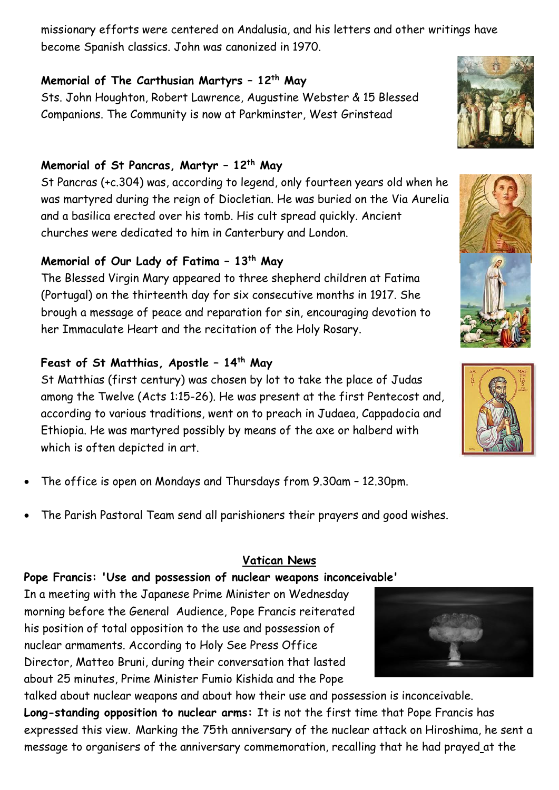missionary efforts were centered on Andalusia, and his letters and other writings have become Spanish classics. [John](https://www.catholic.org/bible/book.php?id=50) was canonized in 1970.

## **Memorial of The Carthusian Martyrs – 12th May**

Sts. John Houghton, Robert Lawrence, Augustine Webster & 15 Blessed Companions. The Community is now at Parkminster, West Grinstead

## **Memorial of St Pancras, Martyr – 12th May**

St Pancras (+c.304) was, according to legend, only fourteen years old when he was martyred during the reign of Diocletian. He was buried on the Via Aurelia and a basilica erected over his tomb. His cult spread quickly. Ancient churches were dedicated to him in Canterbury and London.

# **Memorial of Our Lady of Fatima – 13th May**

The Blessed Virgin Mary appeared to three shepherd children at Fatima (Portugal) on the thirteenth day for six consecutive months in 1917. She brough a message of peace and reparation for sin, encouraging devotion to her Immaculate Heart and the recitation of the Holy Rosary.

# **Feast of St Matthias, Apostle – 14th May**

St Matthias (first century) was chosen by lot to take the place of Judas among the Twelve (Acts 1:15-26). He was present at the first Pentecost and, according to various traditions, went on to preach in Judaea, Cappadocia and Ethiopia. He was martyred possibly by means of the axe or halberd with which is often depicted in art.

- The office is open on Mondays and Thursdays from 9.30am 12.30pm.
- The Parish Pastoral Team send all parishioners their prayers and good wishes.

## **Vatican News**

## **Pope Francis: 'Use and possession of nuclear weapons inconceivable'**

In a meeting with the Japanese Prime Minister on Wednesday morning before the General Audience, Pope Francis reiterated his position of total opposition to the use and possession of nuclear armaments. According to Holy See Press Office Director, Matteo Bruni, during their conversation that lasted about 25 minutes, Prime Minister Fumio Kishida and the Pope

talked about nuclear weapons and about how their use and possession is inconceivable. **Long-standing opposition to nuclear arms:** It is not the first time that Pope Francis has expressed this view. Marking the 75th anniversary of the nuclear attack on Hiroshima, he sent a message to organisers of the anniversary commemoration, recalling that he had [prayed](https://www.vatican.va/content/francesco/en/messages/pont-messages/2019/documents/papa-francesco_20191124_messaggio-incontropace-hiroshima.html) at the